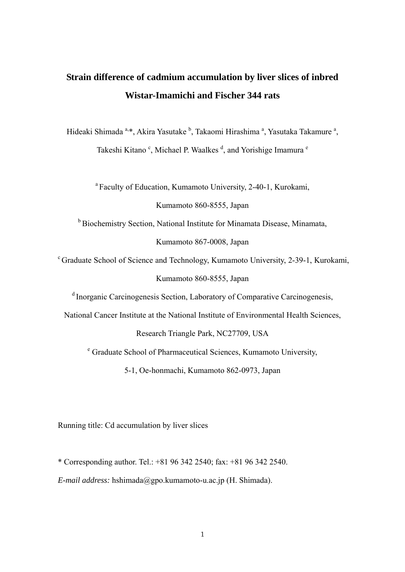# **Strain difference of cadmium accumulation by liver slices of inbred Wistar-Imamichi and Fischer 344 rats**

Hideaki Shimada <sup>a,\*</sup>, Akira Yasutake <sup>b</sup>, Takaomi Hirashima <sup>a</sup>, Yasutaka Takamure <sup>a</sup>, Takeshi Kitano<sup>c</sup>, Michael P. Waalkes<sup>d</sup>, and Yorishige Imamura<sup>e</sup>

<sup>a</sup> Faculty of Education, Kumamoto University, 2-40-1, Kurokami,

Kumamoto 860-8555, Japan

b Biochemistry Section, National Institute for Minamata Disease, Minamata,

Kumamoto 867-0008, Japan

c Graduate School of Science and Technology, Kumamoto University, 2-39-1, Kurokami, Kumamoto 860-8555, Japan

d Inorganic Carcinogenesis Section, Laboratory of Comparative Carcinogenesis,

National Cancer Institute at the National Institute of Environmental Health Sciences,

Research Triangle Park, NC27709, USA

<sup>e</sup> Graduate School of Pharmaceutical Sciences, Kumamoto University,

5-1, Oe-honmachi, Kumamoto 862-0973, Japan

Running title: Cd accumulation by liver slices

\* Corresponding author. Tel.: +81 96 342 2540; fax: +81 96 342 2540.

*E-mail address:* hshimada@gpo.kumamoto-u.ac.jp (H. Shimada).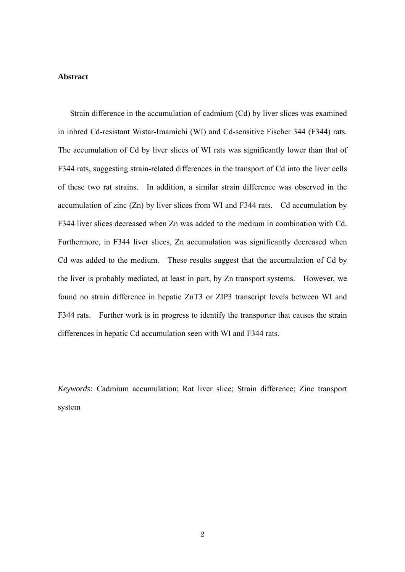# **Abstract**

Strain difference in the accumulation of cadmium (Cd) by liver slices was examined in inbred Cd-resistant Wistar-Imamichi (WI) and Cd-sensitive Fischer 344 (F344) rats. The accumulation of Cd by liver slices of WI rats was significantly lower than that of F344 rats, suggesting strain-related differences in the transport of Cd into the liver cells of these two rat strains. In addition, a similar strain difference was observed in the accumulation of zinc (Zn) by liver slices from WI and F344 rats. Cd accumulation by F344 liver slices decreased when Zn was added to the medium in combination with Cd. Furthermore, in F344 liver slices, Zn accumulation was significantly decreased when Cd was added to the medium. These results suggest that the accumulation of Cd by the liver is probably mediated, at least in part, by Zn transport systems. However, we found no strain difference in hepatic ZnT3 or ZIP3 transcript levels between WI and F344 rats. Further work is in progress to identify the transporter that causes the strain differences in hepatic Cd accumulation seen with WI and F344 rats.

*Keywords:* Cadmium accumulation; Rat liver slice; Strain difference; Zinc transport system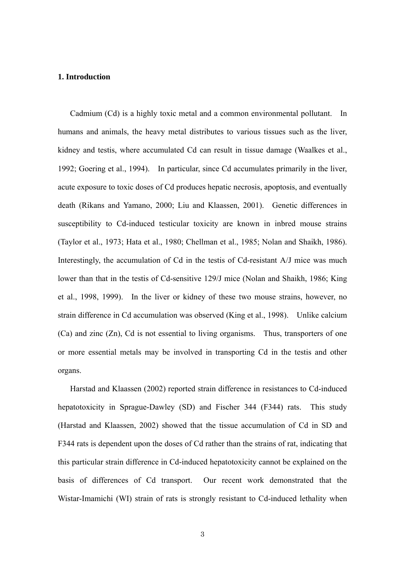# **1. Introduction**

Cadmium (Cd) is a highly toxic metal and a common environmental pollutant. In humans and animals, the heavy metal distributes to various tissues such as the liver, kidney and testis, where accumulated Cd can result in tissue damage (Waalkes et al., 1992; Goering et al., 1994). In particular, since Cd accumulates primarily in the liver, acute exposure to toxic doses of Cd produces hepatic necrosis, apoptosis, and eventually death (Rikans and Yamano, 2000; Liu and Klaassen, 2001). Genetic differences in susceptibility to Cd-induced testicular toxicity are known in inbred mouse strains (Taylor et al., 1973; Hata et al., 1980; Chellman et al., 1985; Nolan and Shaikh, 1986). Interestingly, the accumulation of Cd in the testis of Cd-resistant A/J mice was much lower than that in the testis of Cd-sensitive 129/J mice (Nolan and Shaikh, 1986; King et al., 1998, 1999). In the liver or kidney of these two mouse strains, however, no strain difference in Cd accumulation was observed (King et al., 1998). Unlike calcium (Ca) and zinc (Zn), Cd is not essential to living organisms. Thus, transporters of one or more essential metals may be involved in transporting Cd in the testis and other organs.

Harstad and Klaassen (2002) reported strain difference in resistances to Cd-induced hepatotoxicity in Sprague-Dawley (SD) and Fischer 344 (F344) rats. This study (Harstad and Klaassen, 2002) showed that the tissue accumulation of Cd in SD and F344 rats is dependent upon the doses of Cd rather than the strains of rat, indicating that this particular strain difference in Cd-induced hepatotoxicity cannot be explained on the basis of differences of Cd transport. Our recent work demonstrated that the Wistar-Imamichi (WI) strain of rats is strongly resistant to Cd-induced lethality when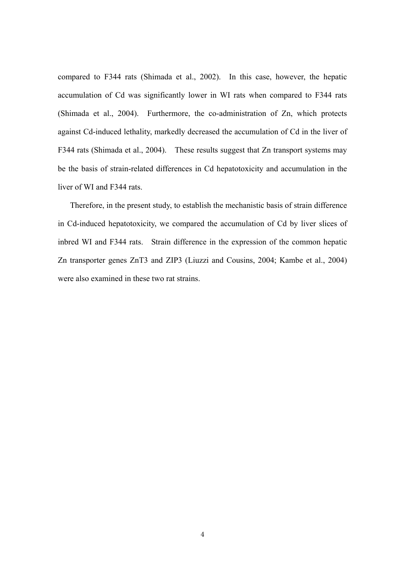compared to F344 rats (Shimada et al., 2002). In this case, however, the hepatic accumulation of Cd was significantly lower in WI rats when compared to F344 rats (Shimada et al., 2004). Furthermore, the co-administration of Zn, which protects against Cd-induced lethality, markedly decreased the accumulation of Cd in the liver of F344 rats (Shimada et al., 2004). These results suggest that Zn transport systems may be the basis of strain-related differences in Cd hepatotoxicity and accumulation in the liver of WI and F344 rats.

Therefore, in the present study, to establish the mechanistic basis of strain difference in Cd-induced hepatotoxicity, we compared the accumulation of Cd by liver slices of inbred WI and F344 rats. Strain difference in the expression of the common hepatic Zn transporter genes ZnT3 and ZIP3 (Liuzzi and Cousins, 2004; Kambe et al., 2004) were also examined in these two rat strains.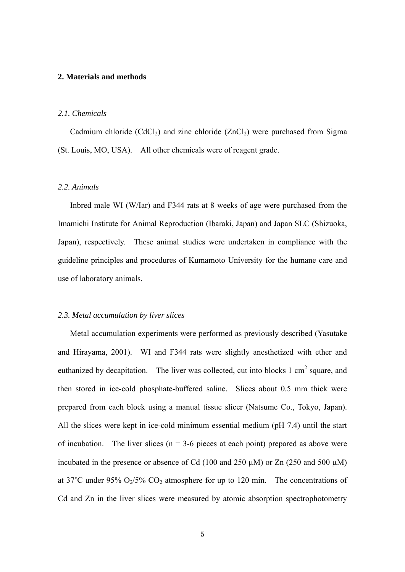### **2. Materials and methods**

### *2.1. Chemicals*

Cadmium chloride  $(CdCl<sub>2</sub>)$  and zinc chloride  $(ZnCl<sub>2</sub>)$  were purchased from Sigma (St. Louis, MO, USA). All other chemicals were of reagent grade.

### *2.2. Animals*

Inbred male WI (W/Iar) and F344 rats at 8 weeks of age were purchased from the Imamichi Institute for Animal Reproduction (Ibaraki, Japan) and Japan SLC (Shizuoka, Japan), respectively. These animal studies were undertaken in compliance with the guideline principles and procedures of Kumamoto University for the humane care and use of laboratory animals.

# *2.3. Metal accumulation by liver slices*

Metal accumulation experiments were performed as previously described (Yasutake and Hirayama, 2001). WI and F344 rats were slightly anesthetized with ether and euthanized by decapitation. The liver was collected, cut into blocks 1 cm<sup>2</sup> square, and then stored in ice-cold phosphate-buffered saline. Slices about 0.5 mm thick were prepared from each block using a manual tissue slicer (Natsume Co., Tokyo, Japan). All the slices were kept in ice-cold minimum essential medium (pH 7.4) until the start of incubation. The liver slices ( $n = 3-6$  pieces at each point) prepared as above were incubated in the presence or absence of Cd (100 and 250  $\mu$ M) or Zn (250 and 500  $\mu$ M) at 37°C under 95%  $O_2/5\%$  CO<sub>2</sub> atmosphere for up to 120 min. The concentrations of Cd and Zn in the liver slices were measured by atomic absorption spectrophotometry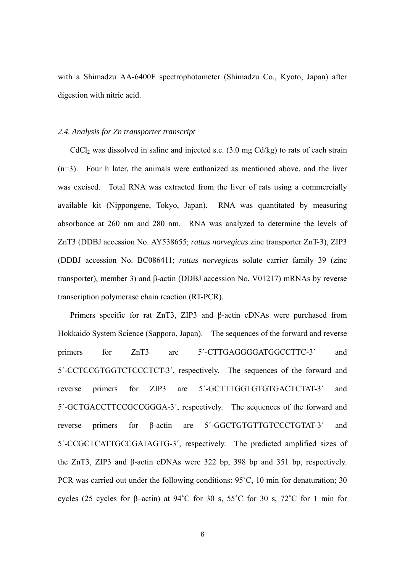with a Shimadzu AA-6400F spectrophotometer (Shimadzu Co., Kyoto, Japan) after digestion with nitric acid.

### *2.4. Analysis for Zn transporter transcript*

 $CdCl<sub>2</sub>$  was dissolved in saline and injected s.c. (3.0 mg  $Cd/kg$ ) to rats of each strain (n=3). Four h later, the animals were euthanized as mentioned above, and the liver was excised. Total RNA was extracted from the liver of rats using a commercially available kit (Nippongene, Tokyo, Japan). RNA was quantitated by measuring absorbance at 260 nm and 280 nm. RNA was analyzed to determine the levels of ZnT3 (DDBJ accession No. AY538655; *rattus norvegicus* zinc transporter ZnT-3), ZIP3 (DDBJ accession No. BC086411; *rattus norvegicus* solute carrier family 39 (zinc transporter), member 3) and β-actin (DDBJ accession No. V01217) mRNAs by reverse transcription polymerase chain reaction (RT-PCR).

Primers specific for rat ZnT3, ZIP3 and β-actin cDNAs were purchased from Hokkaido System Science (Sapporo, Japan). The sequences of the forward and reverse primers for ZnT3 are 5'-CTTGAGGGGATGGCCTTC-3' and 5´-CCTCCGTGGTCTCCCTCT-3´, respectively. The sequences of the forward and reverse primers for ZIP3 are 5´-GCTTTGGTGTGTGACTCTAT-3´ and 5´-GCTGACCTTCCGCCGGGA-3´, respectively. The sequences of the forward and reverse primers for β-actin are 5´-GGCTGTGTTGTCCCTGTAT-3´ and 5´-CCGCTCATTGCCGATAGTG-3´, respectively. The predicted amplified sizes of the ZnT3, ZIP3 and β-actin cDNAs were 322 bp, 398 bp and 351 bp, respectively. PCR was carried out under the following conditions: 95˚C, 10 min for denaturation; 30 cycles (25 cycles for β–actin) at 94˚C for 30 s, 55˚C for 30 s, 72˚C for 1 min for

6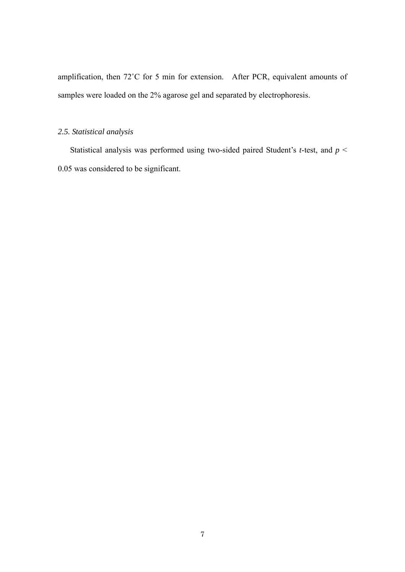amplification, then 72˚C for 5 min for extension. After PCR, equivalent amounts of samples were loaded on the 2% agarose gel and separated by electrophoresis.

# *2.5. Statistical analysis*

 Statistical analysis was performed using two-sided paired Student's *t*-test, and *p* < 0.05 was considered to be significant.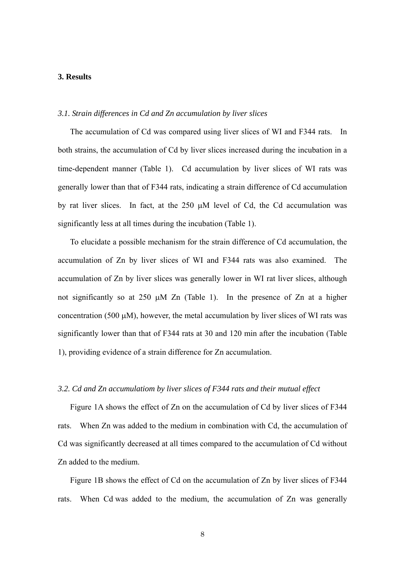# **3. Results**

### *3.1. Strain differences in Cd and Zn accumulation by liver slices*

The accumulation of Cd was compared using liver slices of WI and F344 rats. In both strains, the accumulation of Cd by liver slices increased during the incubation in a time-dependent manner (Table 1). Cd accumulation by liver slices of WI rats was generally lower than that of F344 rats, indicating a strain difference of Cd accumulation by rat liver slices. In fact, at the  $250 \mu M$  level of Cd, the Cd accumulation was significantly less at all times during the incubation (Table 1).

To elucidate a possible mechanism for the strain difference of Cd accumulation, the accumulation of Zn by liver slices of WI and F344 rats was also examined. The accumulation of Zn by liver slices was generally lower in WI rat liver slices, although not significantly so at 250  $\mu$ M Zn (Table 1). In the presence of Zn at a higher concentration (500  $\mu$ M), however, the metal accumulation by liver slices of WI rats was significantly lower than that of F344 rats at 30 and 120 min after the incubation (Table 1), providing evidence of a strain difference for Zn accumulation.

#### *3.2. Cd and Zn accumulatiom by liver slices of F344 rats and their mutual effect*

Figure 1A shows the effect of Zn on the accumulation of Cd by liver slices of F344 rats. When Zn was added to the medium in combination with Cd, the accumulation of Cd was significantly decreased at all times compared to the accumulation of Cd without Zn added to the medium.

Figure 1B shows the effect of Cd on the accumulation of Zn by liver slices of F344 rats. When Cd was added to the medium, the accumulation of Zn was generally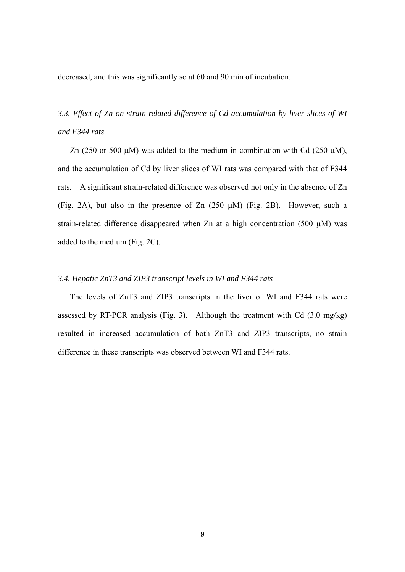decreased, and this was significantly so at 60 and 90 min of incubation.

*3.3. Effect of Zn on strain-related difference of Cd accumulation by liver slices of WI and F344 rats* 

Zn (250 or 500  $\mu$ M) was added to the medium in combination with Cd (250  $\mu$ M), and the accumulation of Cd by liver slices of WI rats was compared with that of F344 rats. A significant strain-related difference was observed not only in the absence of Zn (Fig. 2A), but also in the presence of Zn  $(250 \mu M)$  (Fig. 2B). However, such a strain-related difference disappeared when Zn at a high concentration (500  $\mu$ M) was added to the medium (Fig. 2C).

# *3.4. Hepatic ZnT3 and ZIP3 transcript levels in WI and F344 rats*

The levels of ZnT3 and ZIP3 transcripts in the liver of WI and F344 rats were assessed by RT-PCR analysis (Fig. 3). Although the treatment with Cd (3.0 mg/kg) resulted in increased accumulation of both ZnT3 and ZIP3 transcripts, no strain difference in these transcripts was observed between WI and F344 rats.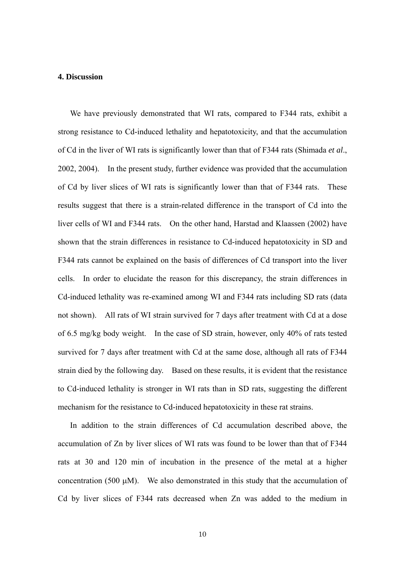### **4. Discussion**

We have previously demonstrated that WI rats, compared to F344 rats, exhibit a strong resistance to Cd-induced lethality and hepatotoxicity, and that the accumulation of Cd in the liver of WI rats is significantly lower than that of F344 rats (Shimada *et al*., 2002, 2004). In the present study, further evidence was provided that the accumulation of Cd by liver slices of WI rats is significantly lower than that of F344 rats. These results suggest that there is a strain-related difference in the transport of Cd into the liver cells of WI and F344 rats. On the other hand, Harstad and Klaassen (2002) have shown that the strain differences in resistance to Cd-induced hepatotoxicity in SD and F344 rats cannot be explained on the basis of differences of Cd transport into the liver cells. In order to elucidate the reason for this discrepancy, the strain differences in Cd-induced lethality was re-examined among WI and F344 rats including SD rats (data not shown). All rats of WI strain survived for 7 days after treatment with Cd at a dose of 6.5 mg/kg body weight. In the case of SD strain, however, only 40% of rats tested survived for 7 days after treatment with Cd at the same dose, although all rats of F344 strain died by the following day. Based on these results, it is evident that the resistance to Cd-induced lethality is stronger in WI rats than in SD rats, suggesting the different mechanism for the resistance to Cd-induced hepatotoxicity in these rat strains.

 In addition to the strain differences of Cd accumulation described above, the accumulation of Zn by liver slices of WI rats was found to be lower than that of F344 rats at 30 and 120 min of incubation in the presence of the metal at a higher concentration (500  $\mu$ M). We also demonstrated in this study that the accumulation of Cd by liver slices of F344 rats decreased when Zn was added to the medium in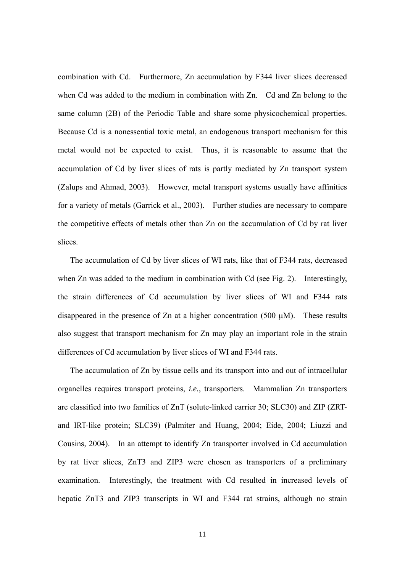combination with Cd. Furthermore, Zn accumulation by F344 liver slices decreased when Cd was added to the medium in combination with Zn. Cd and Zn belong to the same column (2B) of the Periodic Table and share some physicochemical properties. Because Cd is a nonessential toxic metal, an endogenous transport mechanism for this metal would not be expected to exist. Thus, it is reasonable to assume that the accumulation of Cd by liver slices of rats is partly mediated by Zn transport system (Zalups and Ahmad, 2003). However, metal transport systems usually have affinities for a variety of metals (Garrick et al., 2003). Further studies are necessary to compare the competitive effects of metals other than Zn on the accumulation of Cd by rat liver slices.

The accumulation of Cd by liver slices of WI rats, like that of F344 rats, decreased when Zn was added to the medium in combination with Cd (see Fig. 2). Interestingly, the strain differences of Cd accumulation by liver slices of WI and F344 rats disappeared in the presence of Zn at a higher concentration (500  $\mu$ M). These results also suggest that transport mechanism for Zn may play an important role in the strain differences of Cd accumulation by liver slices of WI and F344 rats.

 The accumulation of Zn by tissue cells and its transport into and out of intracellular organelles requires transport proteins, *i.e.*, transporters. Mammalian Zn transporters are classified into two families of ZnT (solute-linked carrier 30; SLC30) and ZIP (ZRTand IRT-like protein; SLC39) (Palmiter and Huang, 2004; Eide, 2004; Liuzzi and Cousins, 2004). In an attempt to identify Zn transporter involved in Cd accumulation by rat liver slices, ZnT3 and ZIP3 were chosen as transporters of a preliminary examination. Interestingly, the treatment with Cd resulted in increased levels of hepatic ZnT3 and ZIP3 transcripts in WI and F344 rat strains, although no strain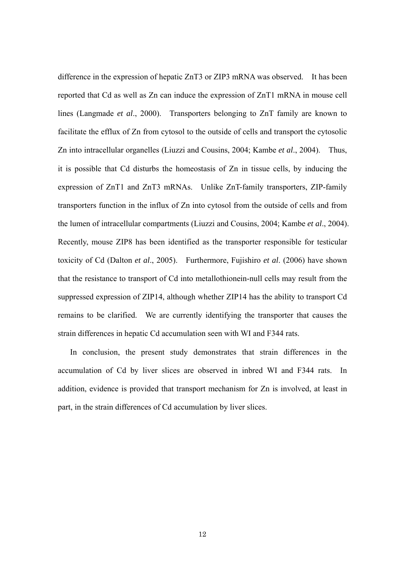difference in the expression of hepatic ZnT3 or ZIP3 mRNA was observed. It has been reported that Cd as well as Zn can induce the expression of ZnT1 mRNA in mouse cell lines (Langmade *et al*., 2000). Transporters belonging to ZnT family are known to facilitate the efflux of Zn from cytosol to the outside of cells and transport the cytosolic Zn into intracellular organelles (Liuzzi and Cousins, 2004; Kambe *et al*., 2004). Thus, it is possible that Cd disturbs the homeostasis of Zn in tissue cells, by inducing the expression of ZnT1 and ZnT3 mRNAs. Unlike ZnT-family transporters, ZIP-family transporters function in the influx of Zn into cytosol from the outside of cells and from the lumen of intracellular compartments (Liuzzi and Cousins, 2004; Kambe *et al*., 2004). Recently, mouse ZIP8 has been identified as the transporter responsible for testicular toxicity of Cd (Dalton *et al*., 2005). Furthermore, Fujishiro *et al*. (2006) have shown that the resistance to transport of Cd into metallothionein-null cells may result from the suppressed expression of ZIP14, although whether ZIP14 has the ability to transport Cd remains to be clarified. We are currently identifying the transporter that causes the strain differences in hepatic Cd accumulation seen with WI and F344 rats.

 In conclusion, the present study demonstrates that strain differences in the accumulation of Cd by liver slices are observed in inbred WI and F344 rats. In addition, evidence is provided that transport mechanism for Zn is involved, at least in part, in the strain differences of Cd accumulation by liver slices.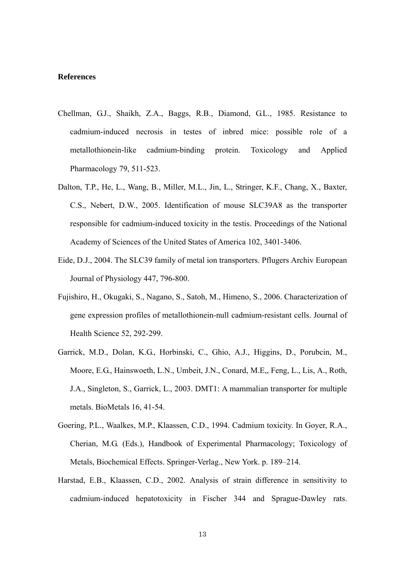# **References**

- Chellman, G.J., Shaikh, Z.A., Baggs, R.B., Diamond, G.L., 1985. Resistance to cadmium-induced necrosis in testes of inbred mice: possible role of a metallothionein-like cadmium-binding protein. Toxicology and Applied Pharmacology 79, 511-523.
- Dalton, T.P., He, L., Wang, B., Miller, M.L., Jin, L., Stringer, K.F., Chang, X., Baxter, C.S., Nebert, D.W., 2005. Identification of mouse SLC39A8 as the transporter responsible for cadmium-induced toxicity in the testis. Proceedings of the National Academy of Sciences of the United States of America 102, 3401-3406.
- Eide, D.J., 2004. The SLC39 family of metal ion transporters. Pflugers Archiv European Journal of Physiology 447, 796-800.
- Fujishiro, H., Okugaki, S., Nagano, S., Satoh, M., Himeno, S., 2006. Characterization of gene expression profiles of metallothionein-null cadmium-resistant cells. Journal of Health Science 52, 292-299.
- Garrick, M.D., Dolan, K.G., Horbinski, C., Ghio, A.J., Higgins, D., Porubcin, M., Moore, E.G., Hainswoeth, L.N., Umbeit, J.N., Conard, M.E,, Feng, L., Lis, A., Roth, J.A., Singleton, S., Garrick, L., 2003. DMT1: A mammalian transporter for multiple metals. BioMetals 16, 41-54.
- Goering, P.L., Waalkes, M.P., Klaassen, C.D., 1994. Cadmium toxicity. In Goyer, R.A., Cherian, M.G. (Eds.), Handbook of Experimental Pharmacology; Toxicology of Metals, Biochemical Effects. Springer-Verlag., New York. p. 189–214.
- Harstad, E.B., Klaassen, C.D., 2002. Analysis of strain difference in sensitivity to cadmium-induced hepatotoxicity in Fischer 344 and Sprague-Dawley rats.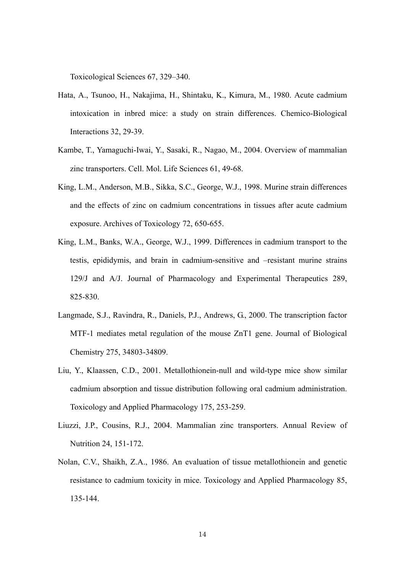Toxicological Sciences 67, 329–340.

- Hata, A., Tsunoo, H., Nakajima, H., Shintaku, K., Kimura, M., 1980. Acute cadmium intoxication in inbred mice: a study on strain differences. Chemico-Biological Interactions 32, 29-39.
- Kambe, T., Yamaguchi-Iwai, Y., Sasaki, R., Nagao, M., 2004. Overview of mammalian zinc transporters. Cell. Mol. Life Sciences 61, 49-68.
- King, L.M., Anderson, M.B., Sikka, S.C., George, W.J., 1998. Murine strain differences and the effects of zinc on cadmium concentrations in tissues after acute cadmium exposure. Archives of Toxicology 72, 650-655.
- King, L.M., Banks, W.A., George, W.J., 1999. Differences in cadmium transport to the testis, epididymis, and brain in cadmium-sensitive and –resistant murine strains 129/J and A/J. Journal of Pharmacology and Experimental Therapeutics 289, 825-830.
- Langmade, S.J., Ravindra, R., Daniels, P.J., Andrews, G., 2000. The transcription factor MTF-1 mediates metal regulation of the mouse ZnT1 gene. Journal of Biological Chemistry 275, 34803-34809.
- Liu, Y., Klaassen, C.D., 2001. Metallothionein-null and wild-type mice show similar cadmium absorption and tissue distribution following oral cadmium administration. Toxicology and Applied Pharmacology 175, 253-259.
- Liuzzi, J.P., Cousins, R.J., 2004. Mammalian zinc transporters. Annual Review of Nutrition 24, 151-172.
- Nolan, C.V., Shaikh, Z.A., 1986. An evaluation of tissue metallothionein and genetic resistance to cadmium toxicity in mice. Toxicology and Applied Pharmacology 85, 135-144.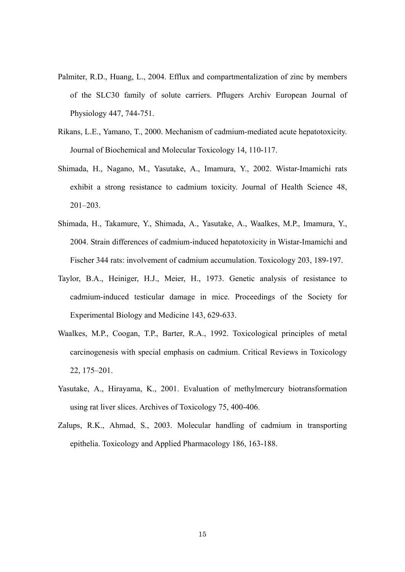- Palmiter, R.D., Huang, L., 2004. Efflux and compartmentalization of zinc by members of the SLC30 family of solute carriers. Pflugers Archiv European Journal of Physiology 447, 744-751.
- Rikans, L.E., Yamano, T., 2000. Mechanism of cadmium-mediated acute hepatotoxicity. Journal of Biochemical and Molecular Toxicology 14, 110-117.
- Shimada, H., Nagano, M., Yasutake, A., Imamura, Y., 2002. Wistar-Imamichi rats exhibit a strong resistance to cadmium toxicity. Journal of Health Science 48, 201–203.
- Shimada, H., Takamure, Y., Shimada, A., Yasutake, A., Waalkes, M.P., Imamura, Y., 2004. Strain differences of cadmium-induced hepatotoxicity in Wistar-Imamichi and Fischer 344 rats: involvement of cadmium accumulation. Toxicology 203, 189-197.
- Taylor, B.A., Heiniger, H.J., Meier, H., 1973. Genetic analysis of resistance to cadmium-induced testicular damage in mice. Proceedings of the Society for Experimental Biology and Medicine 143, 629-633.
- Waalkes, M.P., Coogan, T.P., Barter, R.A., 1992. Toxicological principles of metal carcinogenesis with special emphasis on cadmium. Critical Reviews in Toxicology 22, 175–201.
- Yasutake, A., Hirayama, K., 2001. Evaluation of methylmercury biotransformation using rat liver slices. Archives of Toxicology 75, 400-406.
- Zalups, R.K., Ahmad, S., 2003. Molecular handling of cadmium in transporting epithelia. Toxicology and Applied Pharmacology 186, 163-188.